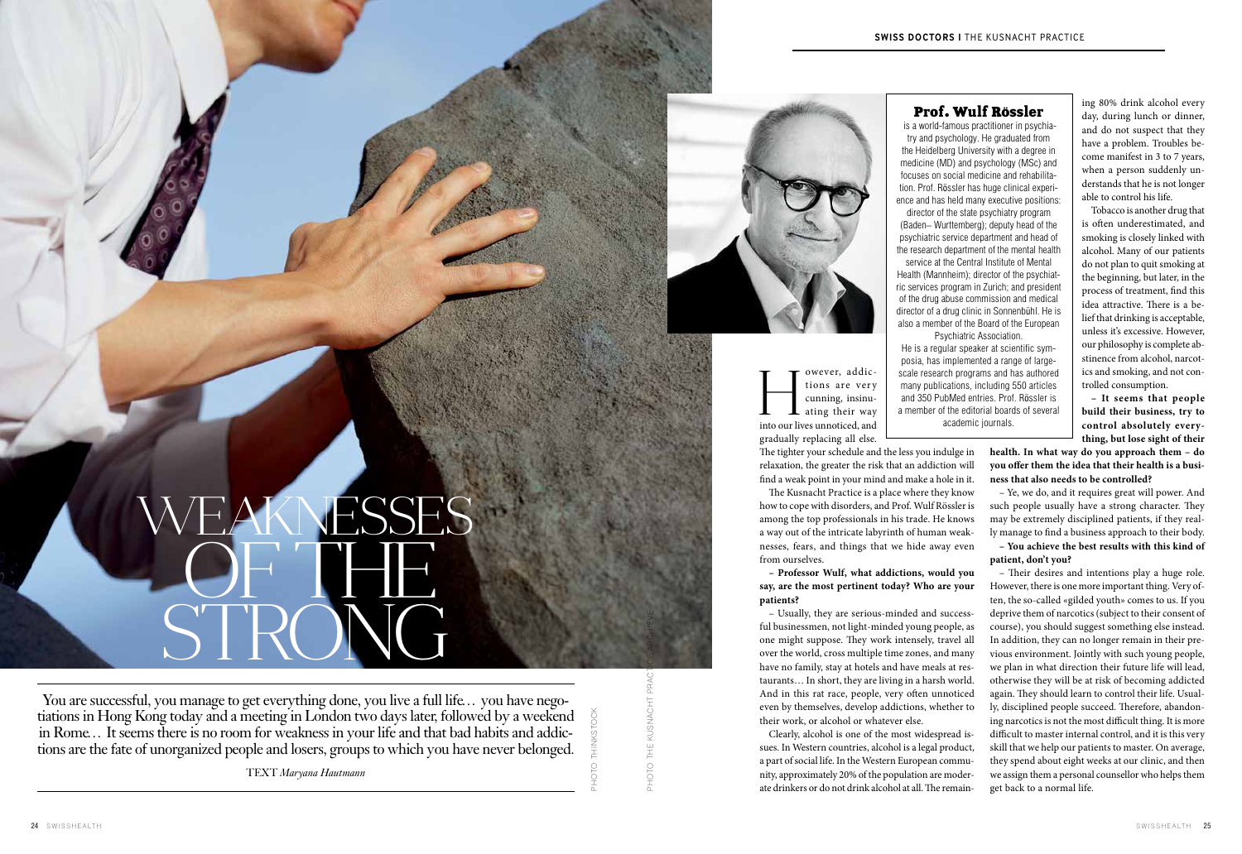PHOTO thinkstock

ing 80% drink alcohol every day, during lunch or dinner, and do not suspect that they have a problem. Troubles become manifest in 3 to 7 years, when a person suddenly understands that he is not longer able to control his life.

Tobacco is another drug that is often underestimated, and smoking is closely linked with alcohol. Many of our patients do not plan to quit smoking at the beginning, but later, in the process of treatment, find this idea attractive. There is a belief that drinking is acceptable, unless it's excessive. However, our philosophy is complete abstinence from alcohol, narcotics and smoking, and not controlled consumption.

**– It seems that people build their business, try to control absolutely everything, but lose sight of their** 

owever, addictions are very cunning, insinu- $\perp$  ating their way I owever, addic-<br>tions are very<br>cunning, insinu-<br>ating their way<br>into our lives unnoticed, and

> – Ye, we do, and it requires great will power. And such people usually have a strong character. They may be extremely disciplined patients, if they really manage to find a business approach to their body.

> **– You achieve the best results with this kind of patient, don't you?**

**health. In what way do you approach them – do you offer them the idea that their health is a business that also needs to be controlled?**  The tighter your schedule and the less you indulge in relaxation, the greater the risk that an addiction will find a weak point in your mind and make a hole in it.

> – Their desires and intentions play a huge role. However, there is one more important thing. Very often, the so-called «gilded youth» comes to us. If you deprive them of narcotics (subject to their consent of course), you should suggest something else instead. In addition, they can no longer remain in their previous environment. Jointly with such young people, we plan in what direction their future life will lead, otherwise they will be at risk of becoming addicted again. They should learn to control their life. Usually, disciplined people succeed. Therefore, abandoning narcotics is not the most difficult thing. It is more difficult to master internal control, and it is this very skill that we help our patients to master. On average, they spend about eight weeks at our clinic, and then we assign them a personal counsellor who helps them get back to a normal life.

gradually replacing all else.

The Kusnacht Practice is a place where they know how to cope with disorders, and Prof. Wulf Rössler is among the top professionals in his trade. He knows a way out of the intricate labyrinth of human weaknesses, fears, and things that we hide away even from ourselves.

**– Professor Wulf, what addictions, would you say, are the most pertinent today? Who are your patients?**

– Usually, they are serious-minded and successful businessmen, not light-minded young people, as one might suppose. They work intensely, travel all over the world, cross multiple time zones, and many have no family, stay at hotels and have meals at restaurants… In short, they are living in a harsh world. And in this rat race, people, very often unnoticed even by themselves, develop addictions, whether to their work, or alcohol or whatever else.

Clearly, alcohol is one of the most widespread issues. In Western countries, alcohol is a legal product, a part of social life. In the Western European community, approximately 20% of the population are moderate drinkers or do not drink alcohol at all. The remain-

You are successful, you manage to get everything done, you live a full life… you have negotiations in Hong Kong today and a meeting in London two days later, followed by a weekend in Rome… It seems there is no room for weakness in your life and that bad habits and addictions are the fate of unorganized people and losers, groups to which you have never belonged.

TEXT *Maryana Hautmann*

# Prof. Wulf Rossler

 is a world-famous practitioner in psychiatry and psychology. He graduated from the Heidelberg University with a degree in medicine (MD) and psychology (MSc) and focuses on social medicine and rehabilitation. Prof. Rössler has huge clinical experience and has held many executive positions: director of the state psychiatry program (Baden– Wurttemberg); deputy head of the psychiatric service department and head of the research department of the mental health service at the Central Institute of Mental Health (Mannheim); director of the psychiatric services program in Zurich; and president of the drug abuse commission and medical director of a drug clinic in Sonnenbühl. He is also a member of the Board of the European Psychiatric Association.

He is a regular speaker at scientific symposia, has implemented a range of largescale research programs and has authored many publications, including 550 articles and 350 PubMed entries. Prof. Rössler is a member of the editorial boards of several academic journals.

PHOTO The Kusnacht Practice archieve

PHOTO THE KUSNACHT

# OF THE STRON WEAKNESSES